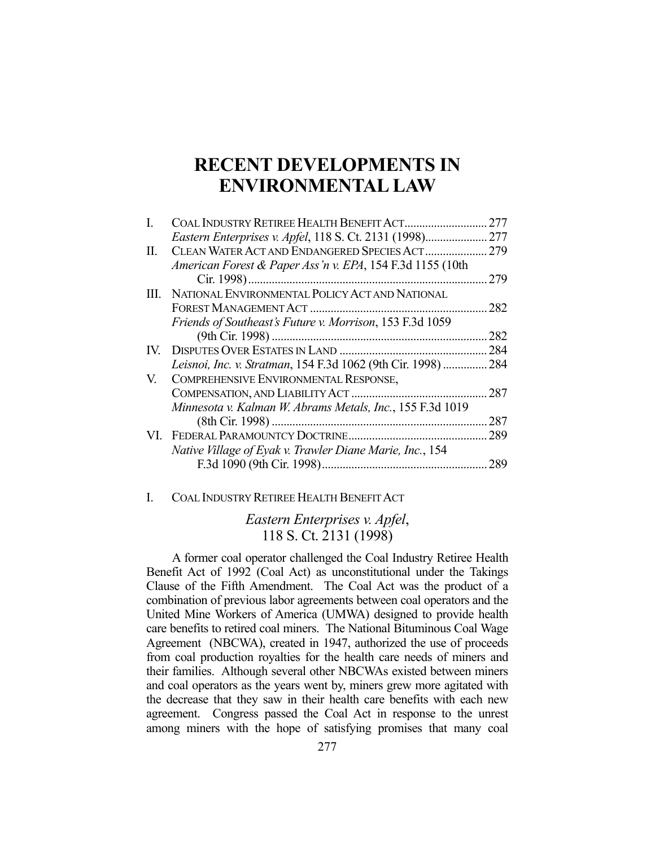# **RECENT DEVELOPMENTS IN ENVIRONMENTAL LAW**

|     | COAL INDUSTRY RETIREE HEALTH BENEFIT ACT                  | 277 |
|-----|-----------------------------------------------------------|-----|
|     | Eastern Enterprises v. Apfel, 118 S. Ct. 2131 (1998)      | 277 |
| Н.  | CLEAN WATER ACT AND ENDANGERED SPECIES ACT                | 279 |
|     | American Forest & Paper Ass'n v. EPA, 154 F.3d 1155 (10th |     |
|     |                                                           | 279 |
|     | III. NATIONAL ENVIRONMENTAL POLICY ACT AND NATIONAL       |     |
|     |                                                           | 282 |
|     | Friends of Southeast's Future v. Morrison, 153 F.3d 1059  |     |
|     |                                                           | 282 |
| IV. |                                                           | 284 |
|     | Leisnoi, Inc. v. Stratman, 154 F.3d 1062 (9th Cir. 1998)  | 284 |
| V.  | COMPREHENSIVE ENVIRONMENTAL RESPONSE,                     |     |
|     |                                                           | 287 |
|     | Minnesota v. Kalman W. Abrams Metals, Inc., 155 F.3d 1019 |     |
|     |                                                           | 287 |
|     |                                                           | 289 |
|     | Native Village of Eyak v. Trawler Diane Marie, Inc., 154  |     |
|     |                                                           | 289 |

## I. COAL INDUSTRY RETIREE HEALTH BENEFIT ACT

# *Eastern Enterprises v. Apfel*, 118 S. Ct. 2131 (1998)

 A former coal operator challenged the Coal Industry Retiree Health Benefit Act of 1992 (Coal Act) as unconstitutional under the Takings Clause of the Fifth Amendment. The Coal Act was the product of a combination of previous labor agreements between coal operators and the United Mine Workers of America (UMWA) designed to provide health care benefits to retired coal miners. The National Bituminous Coal Wage Agreement (NBCWA), created in 1947, authorized the use of proceeds from coal production royalties for the health care needs of miners and their families. Although several other NBCWAs existed between miners and coal operators as the years went by, miners grew more agitated with the decrease that they saw in their health care benefits with each new agreement. Congress passed the Coal Act in response to the unrest among miners with the hope of satisfying promises that many coal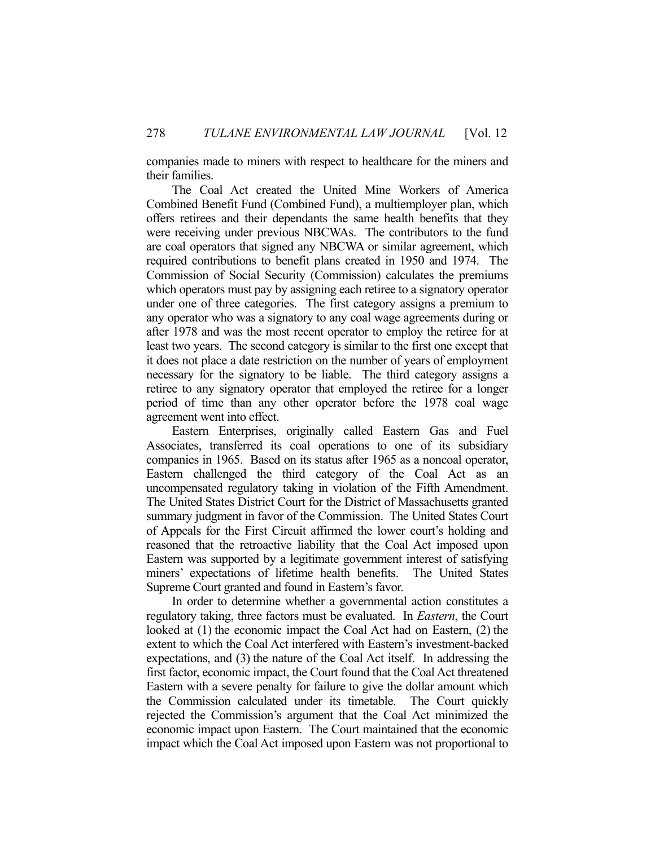companies made to miners with respect to healthcare for the miners and their families.

 The Coal Act created the United Mine Workers of America Combined Benefit Fund (Combined Fund), a multiemployer plan, which offers retirees and their dependants the same health benefits that they were receiving under previous NBCWAs. The contributors to the fund are coal operators that signed any NBCWA or similar agreement, which required contributions to benefit plans created in 1950 and 1974. The Commission of Social Security (Commission) calculates the premiums which operators must pay by assigning each retiree to a signatory operator under one of three categories. The first category assigns a premium to any operator who was a signatory to any coal wage agreements during or after 1978 and was the most recent operator to employ the retiree for at least two years. The second category is similar to the first one except that it does not place a date restriction on the number of years of employment necessary for the signatory to be liable. The third category assigns a retiree to any signatory operator that employed the retiree for a longer period of time than any other operator before the 1978 coal wage agreement went into effect.

 Eastern Enterprises, originally called Eastern Gas and Fuel Associates, transferred its coal operations to one of its subsidiary companies in 1965. Based on its status after 1965 as a noncoal operator, Eastern challenged the third category of the Coal Act as an uncompensated regulatory taking in violation of the Fifth Amendment. The United States District Court for the District of Massachusetts granted summary judgment in favor of the Commission. The United States Court of Appeals for the First Circuit affirmed the lower court's holding and reasoned that the retroactive liability that the Coal Act imposed upon Eastern was supported by a legitimate government interest of satisfying miners' expectations of lifetime health benefits. The United States Supreme Court granted and found in Eastern's favor.

 In order to determine whether a governmental action constitutes a regulatory taking, three factors must be evaluated. In *Eastern*, the Court looked at (1) the economic impact the Coal Act had on Eastern, (2) the extent to which the Coal Act interfered with Eastern's investment-backed expectations, and (3) the nature of the Coal Act itself. In addressing the first factor, economic impact, the Court found that the Coal Act threatened Eastern with a severe penalty for failure to give the dollar amount which the Commission calculated under its timetable. The Court quickly rejected the Commission's argument that the Coal Act minimized the economic impact upon Eastern. The Court maintained that the economic impact which the Coal Act imposed upon Eastern was not proportional to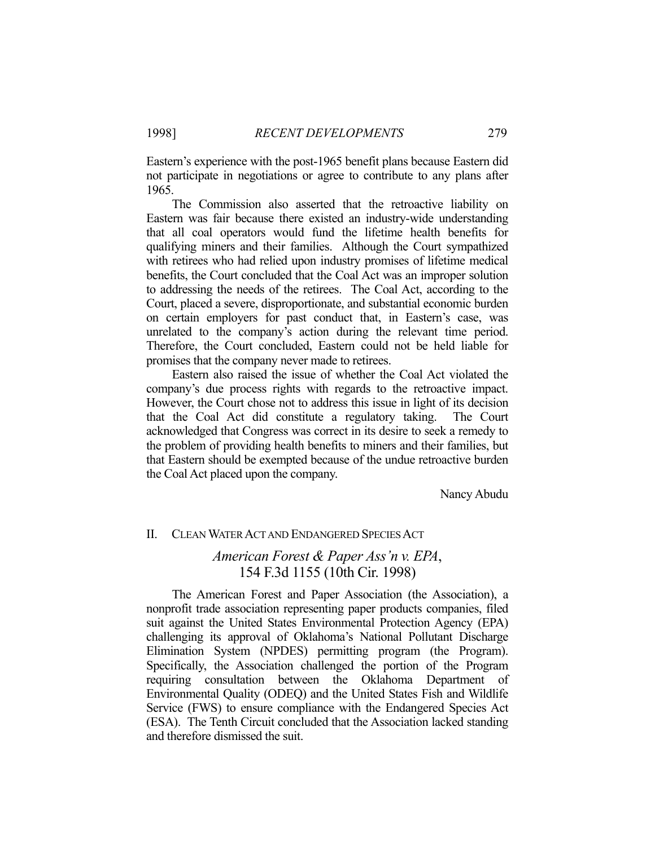Eastern's experience with the post-1965 benefit plans because Eastern did not participate in negotiations or agree to contribute to any plans after 1965.

 The Commission also asserted that the retroactive liability on Eastern was fair because there existed an industry-wide understanding that all coal operators would fund the lifetime health benefits for qualifying miners and their families. Although the Court sympathized with retirees who had relied upon industry promises of lifetime medical benefits, the Court concluded that the Coal Act was an improper solution to addressing the needs of the retirees. The Coal Act, according to the Court, placed a severe, disproportionate, and substantial economic burden on certain employers for past conduct that, in Eastern's case, was unrelated to the company's action during the relevant time period. Therefore, the Court concluded, Eastern could not be held liable for promises that the company never made to retirees.

 Eastern also raised the issue of whether the Coal Act violated the company's due process rights with regards to the retroactive impact. However, the Court chose not to address this issue in light of its decision that the Coal Act did constitute a regulatory taking. The Court acknowledged that Congress was correct in its desire to seek a remedy to the problem of providing health benefits to miners and their families, but that Eastern should be exempted because of the undue retroactive burden the Coal Act placed upon the company.

Nancy Abudu

### II. CLEAN WATER ACT AND ENDANGERED SPECIES ACT

# *American Forest & Paper Ass'n v. EPA*, 154 F.3d 1155 (10th Cir. 1998)

 The American Forest and Paper Association (the Association), a nonprofit trade association representing paper products companies, filed suit against the United States Environmental Protection Agency (EPA) challenging its approval of Oklahoma's National Pollutant Discharge Elimination System (NPDES) permitting program (the Program). Specifically, the Association challenged the portion of the Program requiring consultation between the Oklahoma Department of Environmental Quality (ODEQ) and the United States Fish and Wildlife Service (FWS) to ensure compliance with the Endangered Species Act (ESA). The Tenth Circuit concluded that the Association lacked standing and therefore dismissed the suit.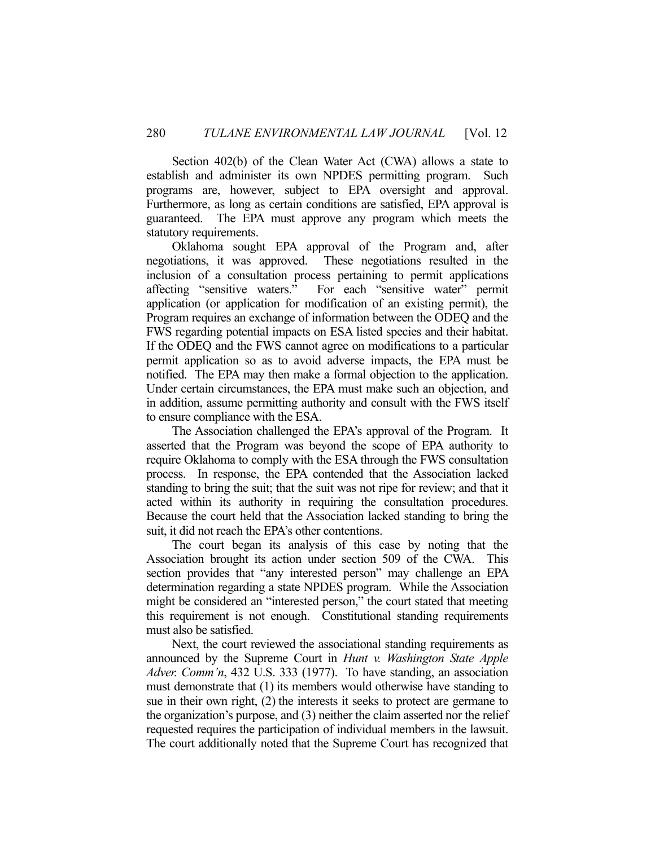Section 402(b) of the Clean Water Act (CWA) allows a state to establish and administer its own NPDES permitting program. Such programs are, however, subject to EPA oversight and approval. Furthermore, as long as certain conditions are satisfied, EPA approval is guaranteed. The EPA must approve any program which meets the statutory requirements.

 Oklahoma sought EPA approval of the Program and, after negotiations, it was approved. These negotiations resulted in the inclusion of a consultation process pertaining to permit applications affecting "sensitive waters." For each "sensitive water" permit application (or application for modification of an existing permit), the Program requires an exchange of information between the ODEQ and the FWS regarding potential impacts on ESA listed species and their habitat. If the ODEQ and the FWS cannot agree on modifications to a particular permit application so as to avoid adverse impacts, the EPA must be notified. The EPA may then make a formal objection to the application. Under certain circumstances, the EPA must make such an objection, and in addition, assume permitting authority and consult with the FWS itself to ensure compliance with the ESA.

 The Association challenged the EPA's approval of the Program. It asserted that the Program was beyond the scope of EPA authority to require Oklahoma to comply with the ESA through the FWS consultation process. In response, the EPA contended that the Association lacked standing to bring the suit; that the suit was not ripe for review; and that it acted within its authority in requiring the consultation procedures. Because the court held that the Association lacked standing to bring the suit, it did not reach the EPA's other contentions.

 The court began its analysis of this case by noting that the Association brought its action under section 509 of the CWA. This section provides that "any interested person" may challenge an EPA determination regarding a state NPDES program. While the Association might be considered an "interested person," the court stated that meeting this requirement is not enough. Constitutional standing requirements must also be satisfied.

 Next, the court reviewed the associational standing requirements as announced by the Supreme Court in *Hunt v. Washington State Apple Adver. Comm'n*, 432 U.S. 333 (1977). To have standing, an association must demonstrate that (1) its members would otherwise have standing to sue in their own right, (2) the interests it seeks to protect are germane to the organization's purpose, and (3) neither the claim asserted nor the relief requested requires the participation of individual members in the lawsuit. The court additionally noted that the Supreme Court has recognized that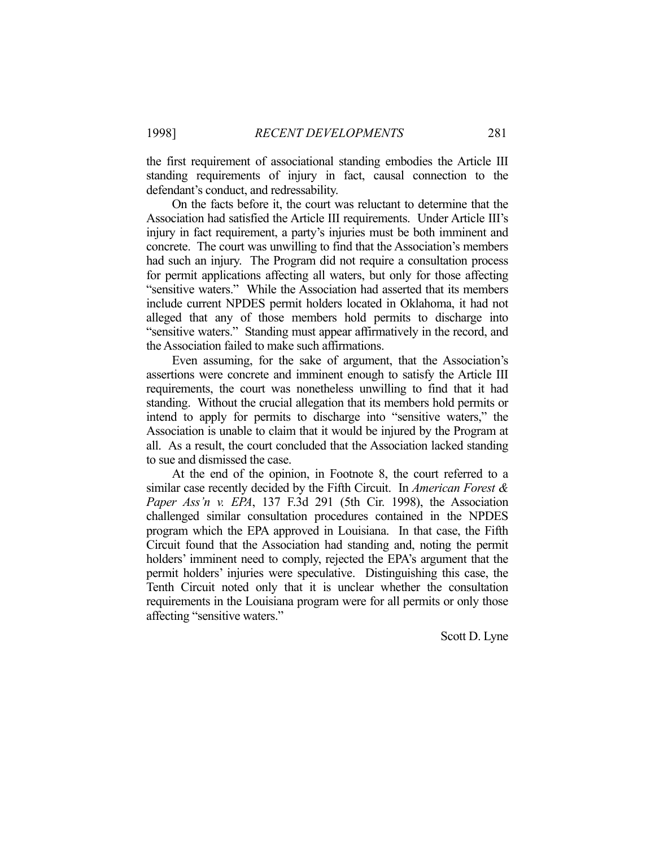the first requirement of associational standing embodies the Article III standing requirements of injury in fact, causal connection to the defendant's conduct, and redressability.

 On the facts before it, the court was reluctant to determine that the Association had satisfied the Article III requirements. Under Article III's injury in fact requirement, a party's injuries must be both imminent and concrete. The court was unwilling to find that the Association's members had such an injury. The Program did not require a consultation process for permit applications affecting all waters, but only for those affecting "sensitive waters." While the Association had asserted that its members include current NPDES permit holders located in Oklahoma, it had not alleged that any of those members hold permits to discharge into "sensitive waters." Standing must appear affirmatively in the record, and the Association failed to make such affirmations.

 Even assuming, for the sake of argument, that the Association's assertions were concrete and imminent enough to satisfy the Article III requirements, the court was nonetheless unwilling to find that it had standing. Without the crucial allegation that its members hold permits or intend to apply for permits to discharge into "sensitive waters," the Association is unable to claim that it would be injured by the Program at all. As a result, the court concluded that the Association lacked standing to sue and dismissed the case.

 At the end of the opinion, in Footnote 8, the court referred to a similar case recently decided by the Fifth Circuit. In *American Forest & Paper Ass'n v. EPA*, 137 F.3d 291 (5th Cir. 1998), the Association challenged similar consultation procedures contained in the NPDES program which the EPA approved in Louisiana. In that case, the Fifth Circuit found that the Association had standing and, noting the permit holders' imminent need to comply, rejected the EPA's argument that the permit holders' injuries were speculative. Distinguishing this case, the Tenth Circuit noted only that it is unclear whether the consultation requirements in the Louisiana program were for all permits or only those affecting "sensitive waters."

Scott D. Lyne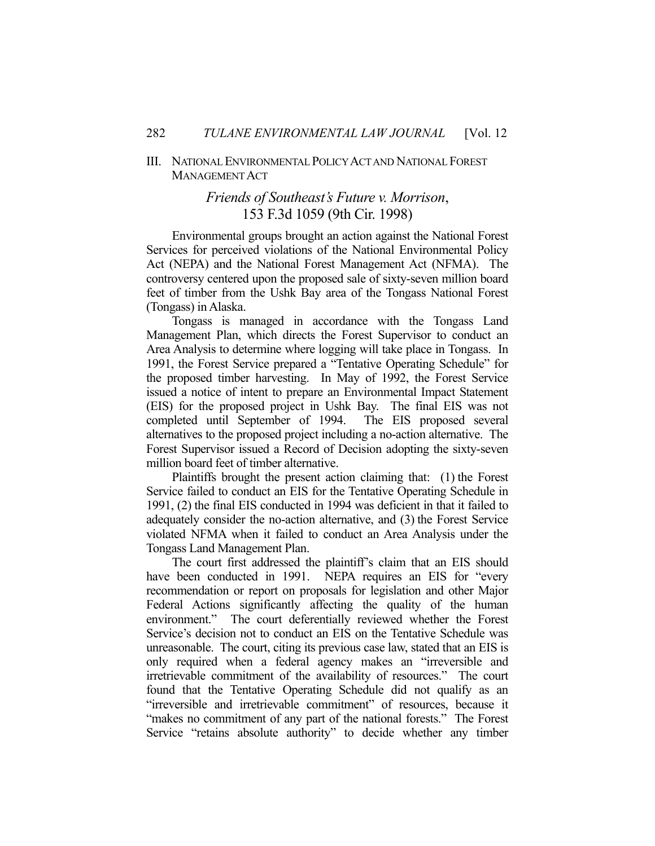### III. NATIONAL ENVIRONMENTAL POLICY ACT AND NATIONAL FOREST MANAGEMENT ACT

# *Friends of Southeast's Future v. Morrison*, 153 F.3d 1059 (9th Cir. 1998)

 Environmental groups brought an action against the National Forest Services for perceived violations of the National Environmental Policy Act (NEPA) and the National Forest Management Act (NFMA). The controversy centered upon the proposed sale of sixty-seven million board feet of timber from the Ushk Bay area of the Tongass National Forest (Tongass) in Alaska.

 Tongass is managed in accordance with the Tongass Land Management Plan, which directs the Forest Supervisor to conduct an Area Analysis to determine where logging will take place in Tongass. In 1991, the Forest Service prepared a "Tentative Operating Schedule" for the proposed timber harvesting. In May of 1992, the Forest Service issued a notice of intent to prepare an Environmental Impact Statement (EIS) for the proposed project in Ushk Bay. The final EIS was not completed until September of 1994. The EIS proposed several alternatives to the proposed project including a no-action alternative. The Forest Supervisor issued a Record of Decision adopting the sixty-seven million board feet of timber alternative.

 Plaintiffs brought the present action claiming that: (1) the Forest Service failed to conduct an EIS for the Tentative Operating Schedule in 1991, (2) the final EIS conducted in 1994 was deficient in that it failed to adequately consider the no-action alternative, and (3) the Forest Service violated NFMA when it failed to conduct an Area Analysis under the Tongass Land Management Plan.

 The court first addressed the plaintiff's claim that an EIS should have been conducted in 1991. NEPA requires an EIS for "every recommendation or report on proposals for legislation and other Major Federal Actions significantly affecting the quality of the human environment." The court deferentially reviewed whether the Forest Service's decision not to conduct an EIS on the Tentative Schedule was unreasonable. The court, citing its previous case law, stated that an EIS is only required when a federal agency makes an "irreversible and irretrievable commitment of the availability of resources." The court found that the Tentative Operating Schedule did not qualify as an "irreversible and irretrievable commitment" of resources, because it "makes no commitment of any part of the national forests." The Forest Service "retains absolute authority" to decide whether any timber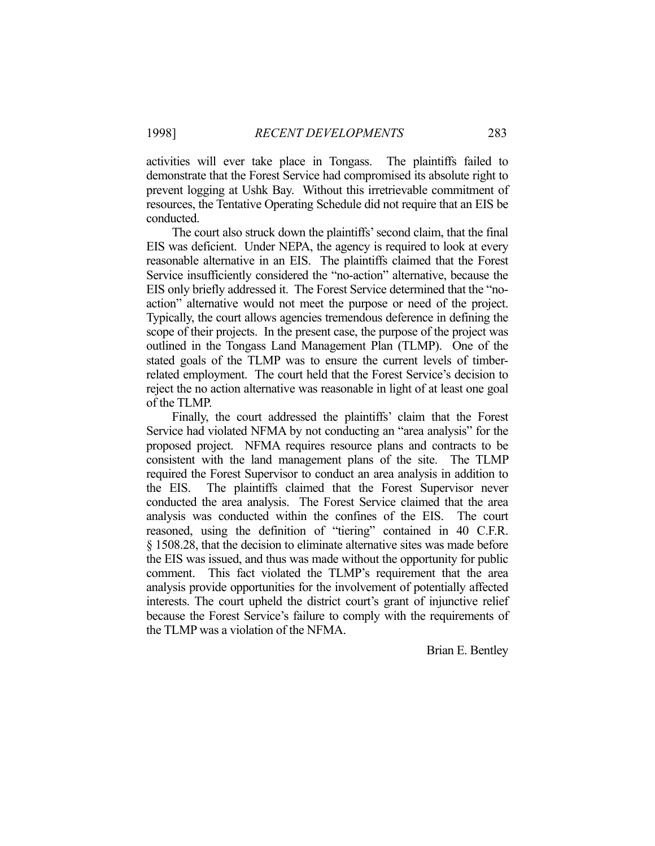activities will ever take place in Tongass. The plaintiffs failed to demonstrate that the Forest Service had compromised its absolute right to prevent logging at Ushk Bay. Without this irretrievable commitment of resources, the Tentative Operating Schedule did not require that an EIS be conducted.

 The court also struck down the plaintiffs' second claim, that the final EIS was deficient. Under NEPA, the agency is required to look at every reasonable alternative in an EIS. The plaintiffs claimed that the Forest Service insufficiently considered the "no-action" alternative, because the EIS only briefly addressed it. The Forest Service determined that the "noaction" alternative would not meet the purpose or need of the project. Typically, the court allows agencies tremendous deference in defining the scope of their projects. In the present case, the purpose of the project was outlined in the Tongass Land Management Plan (TLMP). One of the stated goals of the TLMP was to ensure the current levels of timberrelated employment. The court held that the Forest Service's decision to reject the no action alternative was reasonable in light of at least one goal of the TLMP.

 Finally, the court addressed the plaintiffs' claim that the Forest Service had violated NFMA by not conducting an "area analysis" for the proposed project. NFMA requires resource plans and contracts to be consistent with the land management plans of the site. The TLMP required the Forest Supervisor to conduct an area analysis in addition to the EIS. The plaintiffs claimed that the Forest Supervisor never conducted the area analysis. The Forest Service claimed that the area analysis was conducted within the confines of the EIS. The court reasoned, using the definition of "tiering" contained in 40 C.F.R. § 1508.28, that the decision to eliminate alternative sites was made before the EIS was issued, and thus was made without the opportunity for public comment. This fact violated the TLMP's requirement that the area analysis provide opportunities for the involvement of potentially affected interests. The court upheld the district court's grant of injunctive relief because the Forest Service's failure to comply with the requirements of the TLMP was a violation of the NFMA.

Brian E. Bentley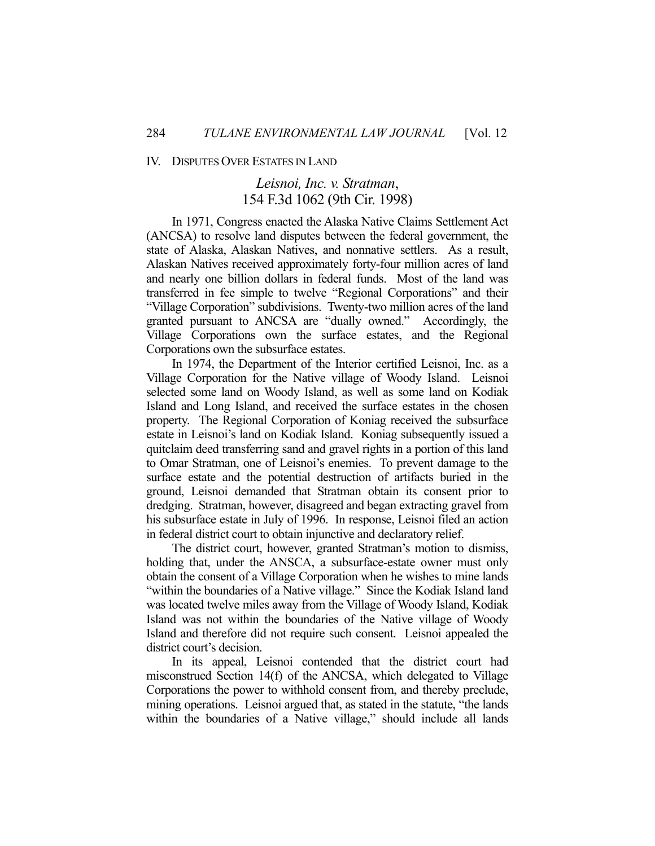#### IV. DISPUTES OVER ESTATES IN LAND

# *Leisnoi, Inc. v. Stratman*, 154 F.3d 1062 (9th Cir. 1998)

 In 1971, Congress enacted the Alaska Native Claims Settlement Act (ANCSA) to resolve land disputes between the federal government, the state of Alaska, Alaskan Natives, and nonnative settlers. As a result, Alaskan Natives received approximately forty-four million acres of land and nearly one billion dollars in federal funds. Most of the land was transferred in fee simple to twelve "Regional Corporations" and their "Village Corporation" subdivisions. Twenty-two million acres of the land granted pursuant to ANCSA are "dually owned." Accordingly, the Village Corporations own the surface estates, and the Regional Corporations own the subsurface estates.

 In 1974, the Department of the Interior certified Leisnoi, Inc. as a Village Corporation for the Native village of Woody Island. Leisnoi selected some land on Woody Island, as well as some land on Kodiak Island and Long Island, and received the surface estates in the chosen property. The Regional Corporation of Koniag received the subsurface estate in Leisnoi's land on Kodiak Island. Koniag subsequently issued a quitclaim deed transferring sand and gravel rights in a portion of this land to Omar Stratman, one of Leisnoi's enemies. To prevent damage to the surface estate and the potential destruction of artifacts buried in the ground, Leisnoi demanded that Stratman obtain its consent prior to dredging. Stratman, however, disagreed and began extracting gravel from his subsurface estate in July of 1996. In response, Leisnoi filed an action in federal district court to obtain injunctive and declaratory relief.

 The district court, however, granted Stratman's motion to dismiss, holding that, under the ANSCA, a subsurface-estate owner must only obtain the consent of a Village Corporation when he wishes to mine lands "within the boundaries of a Native village." Since the Kodiak Island land was located twelve miles away from the Village of Woody Island, Kodiak Island was not within the boundaries of the Native village of Woody Island and therefore did not require such consent. Leisnoi appealed the district court's decision.

 In its appeal, Leisnoi contended that the district court had misconstrued Section 14(f) of the ANCSA, which delegated to Village Corporations the power to withhold consent from, and thereby preclude, mining operations. Leisnoi argued that, as stated in the statute, "the lands within the boundaries of a Native village," should include all lands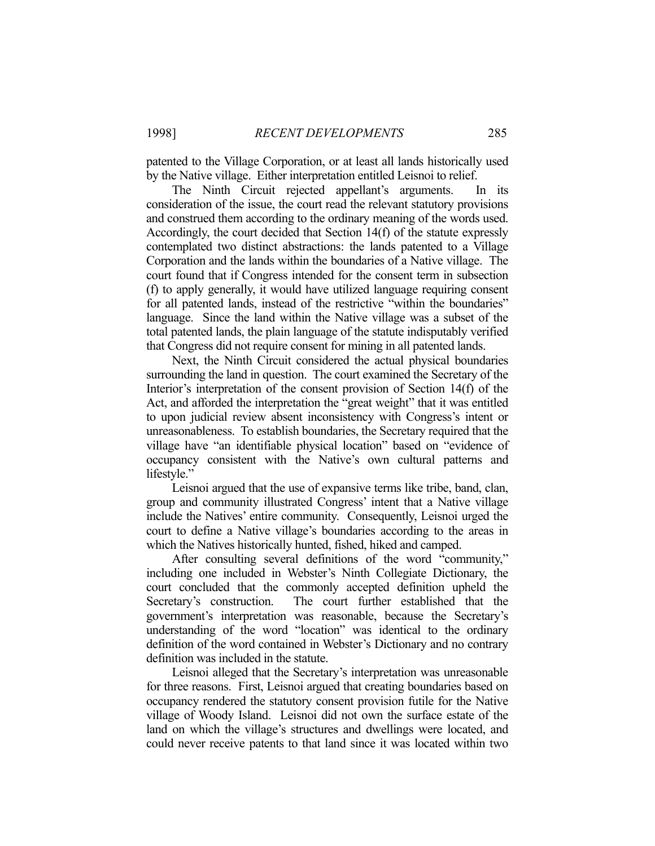patented to the Village Corporation, or at least all lands historically used by the Native village. Either interpretation entitled Leisnoi to relief.

 The Ninth Circuit rejected appellant's arguments. In its consideration of the issue, the court read the relevant statutory provisions and construed them according to the ordinary meaning of the words used. Accordingly, the court decided that Section 14(f) of the statute expressly contemplated two distinct abstractions: the lands patented to a Village Corporation and the lands within the boundaries of a Native village. The court found that if Congress intended for the consent term in subsection (f) to apply generally, it would have utilized language requiring consent for all patented lands, instead of the restrictive "within the boundaries" language. Since the land within the Native village was a subset of the total patented lands, the plain language of the statute indisputably verified that Congress did not require consent for mining in all patented lands.

 Next, the Ninth Circuit considered the actual physical boundaries surrounding the land in question. The court examined the Secretary of the Interior's interpretation of the consent provision of Section 14(f) of the Act, and afforded the interpretation the "great weight" that it was entitled to upon judicial review absent inconsistency with Congress's intent or unreasonableness. To establish boundaries, the Secretary required that the village have "an identifiable physical location" based on "evidence of occupancy consistent with the Native's own cultural patterns and lifestyle."

 Leisnoi argued that the use of expansive terms like tribe, band, clan, group and community illustrated Congress' intent that a Native village include the Natives' entire community. Consequently, Leisnoi urged the court to define a Native village's boundaries according to the areas in which the Natives historically hunted, fished, hiked and camped.

 After consulting several definitions of the word "community," including one included in Webster's Ninth Collegiate Dictionary, the court concluded that the commonly accepted definition upheld the Secretary's construction. The court further established that the government's interpretation was reasonable, because the Secretary's understanding of the word "location" was identical to the ordinary definition of the word contained in Webster's Dictionary and no contrary definition was included in the statute.

 Leisnoi alleged that the Secretary's interpretation was unreasonable for three reasons. First, Leisnoi argued that creating boundaries based on occupancy rendered the statutory consent provision futile for the Native village of Woody Island. Leisnoi did not own the surface estate of the land on which the village's structures and dwellings were located, and could never receive patents to that land since it was located within two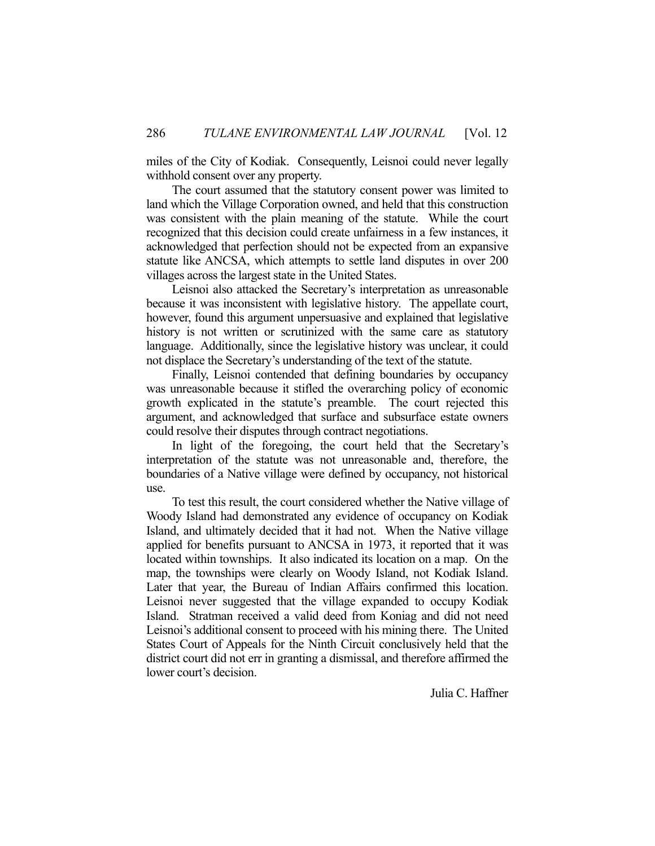miles of the City of Kodiak. Consequently, Leisnoi could never legally withhold consent over any property.

 The court assumed that the statutory consent power was limited to land which the Village Corporation owned, and held that this construction was consistent with the plain meaning of the statute. While the court recognized that this decision could create unfairness in a few instances, it acknowledged that perfection should not be expected from an expansive statute like ANCSA, which attempts to settle land disputes in over 200 villages across the largest state in the United States.

 Leisnoi also attacked the Secretary's interpretation as unreasonable because it was inconsistent with legislative history. The appellate court, however, found this argument unpersuasive and explained that legislative history is not written or scrutinized with the same care as statutory language. Additionally, since the legislative history was unclear, it could not displace the Secretary's understanding of the text of the statute.

 Finally, Leisnoi contended that defining boundaries by occupancy was unreasonable because it stifled the overarching policy of economic growth explicated in the statute's preamble. The court rejected this argument, and acknowledged that surface and subsurface estate owners could resolve their disputes through contract negotiations.

 In light of the foregoing, the court held that the Secretary's interpretation of the statute was not unreasonable and, therefore, the boundaries of a Native village were defined by occupancy, not historical use.

 To test this result, the court considered whether the Native village of Woody Island had demonstrated any evidence of occupancy on Kodiak Island, and ultimately decided that it had not. When the Native village applied for benefits pursuant to ANCSA in 1973, it reported that it was located within townships. It also indicated its location on a map. On the map, the townships were clearly on Woody Island, not Kodiak Island. Later that year, the Bureau of Indian Affairs confirmed this location. Leisnoi never suggested that the village expanded to occupy Kodiak Island. Stratman received a valid deed from Koniag and did not need Leisnoi's additional consent to proceed with his mining there. The United States Court of Appeals for the Ninth Circuit conclusively held that the district court did not err in granting a dismissal, and therefore affirmed the lower court's decision.

Julia C. Haffner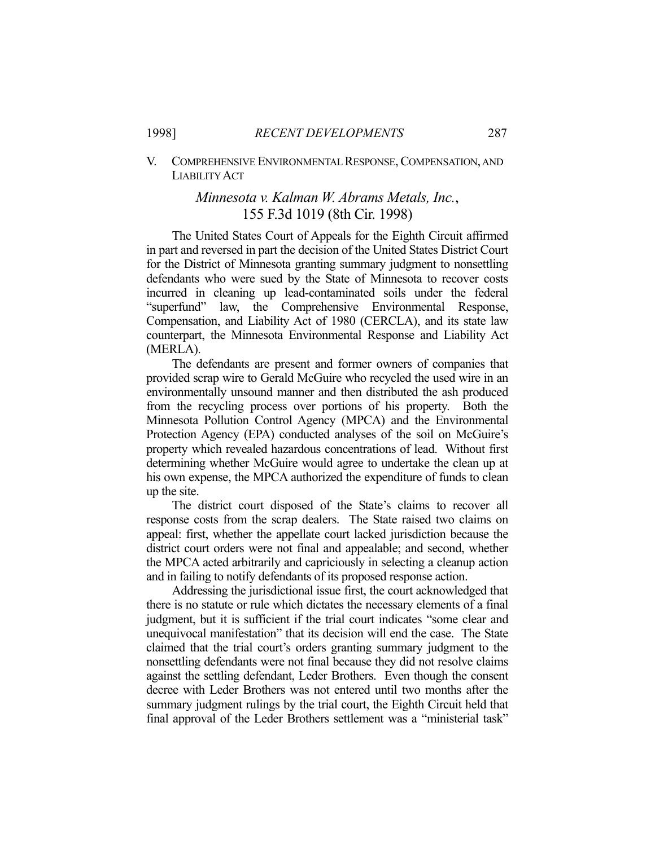### V. COMPREHENSIVE ENVIRONMENTAL RESPONSE, COMPENSATION, AND LIABILITY ACT

# *Minnesota v. Kalman W. Abrams Metals, Inc.*, 155 F.3d 1019 (8th Cir. 1998)

 The United States Court of Appeals for the Eighth Circuit affirmed in part and reversed in part the decision of the United States District Court for the District of Minnesota granting summary judgment to nonsettling defendants who were sued by the State of Minnesota to recover costs incurred in cleaning up lead-contaminated soils under the federal "superfund" law, the Comprehensive Environmental Response, Compensation, and Liability Act of 1980 (CERCLA), and its state law counterpart, the Minnesota Environmental Response and Liability Act (MERLA).

 The defendants are present and former owners of companies that provided scrap wire to Gerald McGuire who recycled the used wire in an environmentally unsound manner and then distributed the ash produced from the recycling process over portions of his property. Both the Minnesota Pollution Control Agency (MPCA) and the Environmental Protection Agency (EPA) conducted analyses of the soil on McGuire's property which revealed hazardous concentrations of lead. Without first determining whether McGuire would agree to undertake the clean up at his own expense, the MPCA authorized the expenditure of funds to clean up the site.

 The district court disposed of the State's claims to recover all response costs from the scrap dealers. The State raised two claims on appeal: first, whether the appellate court lacked jurisdiction because the district court orders were not final and appealable; and second, whether the MPCA acted arbitrarily and capriciously in selecting a cleanup action and in failing to notify defendants of its proposed response action.

 Addressing the jurisdictional issue first, the court acknowledged that there is no statute or rule which dictates the necessary elements of a final judgment, but it is sufficient if the trial court indicates "some clear and unequivocal manifestation" that its decision will end the case. The State claimed that the trial court's orders granting summary judgment to the nonsettling defendants were not final because they did not resolve claims against the settling defendant, Leder Brothers. Even though the consent decree with Leder Brothers was not entered until two months after the summary judgment rulings by the trial court, the Eighth Circuit held that final approval of the Leder Brothers settlement was a "ministerial task"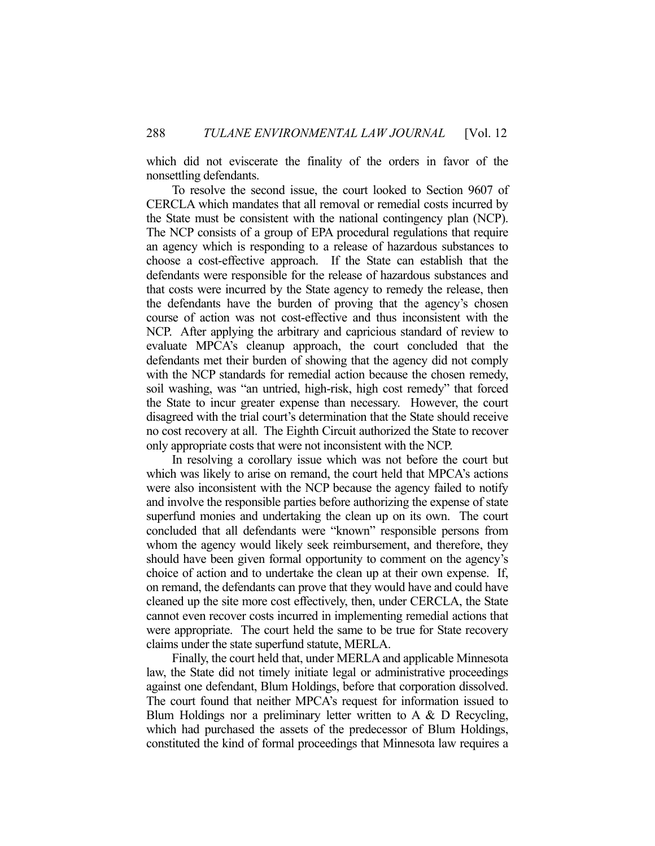which did not eviscerate the finality of the orders in favor of the nonsettling defendants.

 To resolve the second issue, the court looked to Section 9607 of CERCLA which mandates that all removal or remedial costs incurred by the State must be consistent with the national contingency plan (NCP). The NCP consists of a group of EPA procedural regulations that require an agency which is responding to a release of hazardous substances to choose a cost-effective approach. If the State can establish that the defendants were responsible for the release of hazardous substances and that costs were incurred by the State agency to remedy the release, then the defendants have the burden of proving that the agency's chosen course of action was not cost-effective and thus inconsistent with the NCP. After applying the arbitrary and capricious standard of review to evaluate MPCA's cleanup approach, the court concluded that the defendants met their burden of showing that the agency did not comply with the NCP standards for remedial action because the chosen remedy, soil washing, was "an untried, high-risk, high cost remedy" that forced the State to incur greater expense than necessary. However, the court disagreed with the trial court's determination that the State should receive no cost recovery at all. The Eighth Circuit authorized the State to recover only appropriate costs that were not inconsistent with the NCP.

 In resolving a corollary issue which was not before the court but which was likely to arise on remand, the court held that MPCA's actions were also inconsistent with the NCP because the agency failed to notify and involve the responsible parties before authorizing the expense of state superfund monies and undertaking the clean up on its own. The court concluded that all defendants were "known" responsible persons from whom the agency would likely seek reimbursement, and therefore, they should have been given formal opportunity to comment on the agency's choice of action and to undertake the clean up at their own expense. If, on remand, the defendants can prove that they would have and could have cleaned up the site more cost effectively, then, under CERCLA, the State cannot even recover costs incurred in implementing remedial actions that were appropriate. The court held the same to be true for State recovery claims under the state superfund statute, MERLA.

 Finally, the court held that, under MERLA and applicable Minnesota law, the State did not timely initiate legal or administrative proceedings against one defendant, Blum Holdings, before that corporation dissolved. The court found that neither MPCA's request for information issued to Blum Holdings nor a preliminary letter written to A & D Recycling, which had purchased the assets of the predecessor of Blum Holdings, constituted the kind of formal proceedings that Minnesota law requires a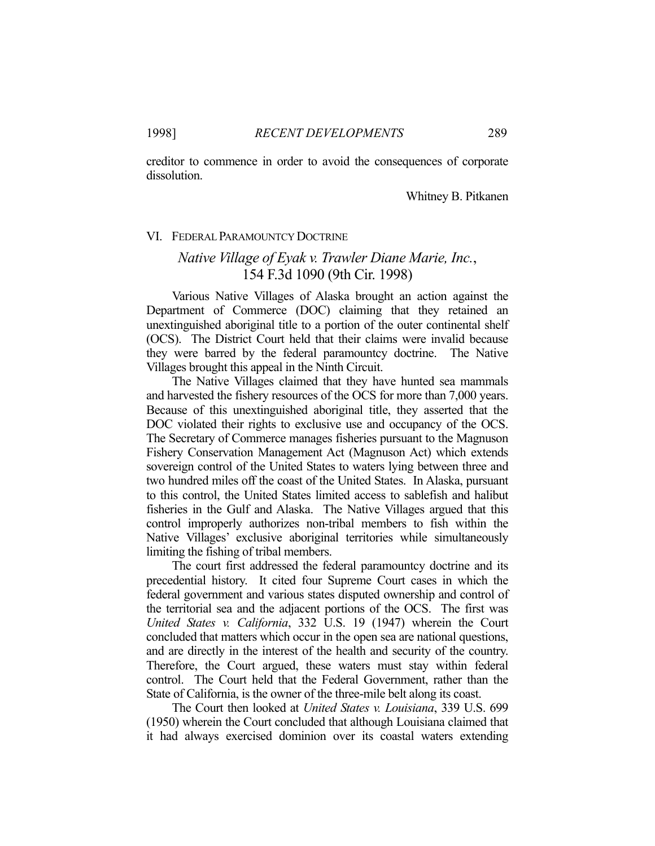creditor to commence in order to avoid the consequences of corporate dissolution.

### Whitney B. Pitkanen

#### VI. FEDERAL PARAMOUNTCY DOCTRINE

# *Native Village of Eyak v. Trawler Diane Marie, Inc.*, 154 F.3d 1090 (9th Cir. 1998)

 Various Native Villages of Alaska brought an action against the Department of Commerce (DOC) claiming that they retained an unextinguished aboriginal title to a portion of the outer continental shelf (OCS). The District Court held that their claims were invalid because they were barred by the federal paramountcy doctrine. The Native Villages brought this appeal in the Ninth Circuit.

 The Native Villages claimed that they have hunted sea mammals and harvested the fishery resources of the OCS for more than 7,000 years. Because of this unextinguished aboriginal title, they asserted that the DOC violated their rights to exclusive use and occupancy of the OCS. The Secretary of Commerce manages fisheries pursuant to the Magnuson Fishery Conservation Management Act (Magnuson Act) which extends sovereign control of the United States to waters lying between three and two hundred miles off the coast of the United States. In Alaska, pursuant to this control, the United States limited access to sablefish and halibut fisheries in the Gulf and Alaska. The Native Villages argued that this control improperly authorizes non-tribal members to fish within the Native Villages' exclusive aboriginal territories while simultaneously limiting the fishing of tribal members.

 The court first addressed the federal paramountcy doctrine and its precedential history. It cited four Supreme Court cases in which the federal government and various states disputed ownership and control of the territorial sea and the adjacent portions of the OCS. The first was *United States v. California*, 332 U.S. 19 (1947) wherein the Court concluded that matters which occur in the open sea are national questions, and are directly in the interest of the health and security of the country. Therefore, the Court argued, these waters must stay within federal control. The Court held that the Federal Government, rather than the State of California, is the owner of the three-mile belt along its coast.

 The Court then looked at *United States v. Louisiana*, 339 U.S. 699 (1950) wherein the Court concluded that although Louisiana claimed that it had always exercised dominion over its coastal waters extending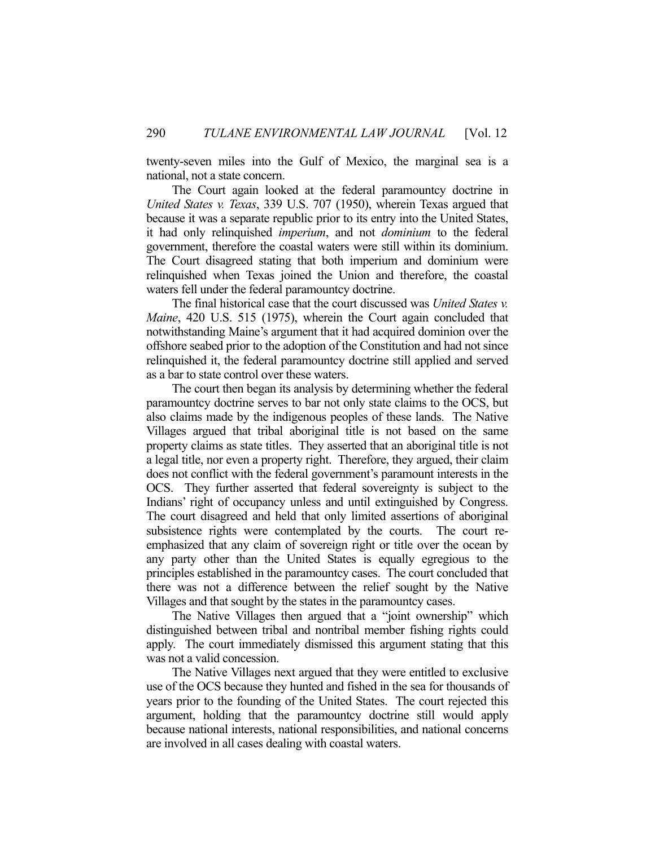twenty-seven miles into the Gulf of Mexico, the marginal sea is a national, not a state concern.

 The Court again looked at the federal paramountcy doctrine in *United States v. Texas*, 339 U.S. 707 (1950), wherein Texas argued that because it was a separate republic prior to its entry into the United States, it had only relinquished *imperium*, and not *dominium* to the federal government, therefore the coastal waters were still within its dominium. The Court disagreed stating that both imperium and dominium were relinquished when Texas joined the Union and therefore, the coastal waters fell under the federal paramountcy doctrine.

 The final historical case that the court discussed was *United States v. Maine*, 420 U.S. 515 (1975), wherein the Court again concluded that notwithstanding Maine's argument that it had acquired dominion over the offshore seabed prior to the adoption of the Constitution and had not since relinquished it, the federal paramountcy doctrine still applied and served as a bar to state control over these waters.

 The court then began its analysis by determining whether the federal paramountcy doctrine serves to bar not only state claims to the OCS, but also claims made by the indigenous peoples of these lands. The Native Villages argued that tribal aboriginal title is not based on the same property claims as state titles. They asserted that an aboriginal title is not a legal title, nor even a property right. Therefore, they argued, their claim does not conflict with the federal government's paramount interests in the OCS. They further asserted that federal sovereignty is subject to the Indians' right of occupancy unless and until extinguished by Congress. The court disagreed and held that only limited assertions of aboriginal subsistence rights were contemplated by the courts. The court reemphasized that any claim of sovereign right or title over the ocean by any party other than the United States is equally egregious to the principles established in the paramountcy cases. The court concluded that there was not a difference between the relief sought by the Native Villages and that sought by the states in the paramountcy cases.

 The Native Villages then argued that a "joint ownership" which distinguished between tribal and nontribal member fishing rights could apply. The court immediately dismissed this argument stating that this was not a valid concession.

 The Native Villages next argued that they were entitled to exclusive use of the OCS because they hunted and fished in the sea for thousands of years prior to the founding of the United States. The court rejected this argument, holding that the paramountcy doctrine still would apply because national interests, national responsibilities, and national concerns are involved in all cases dealing with coastal waters.